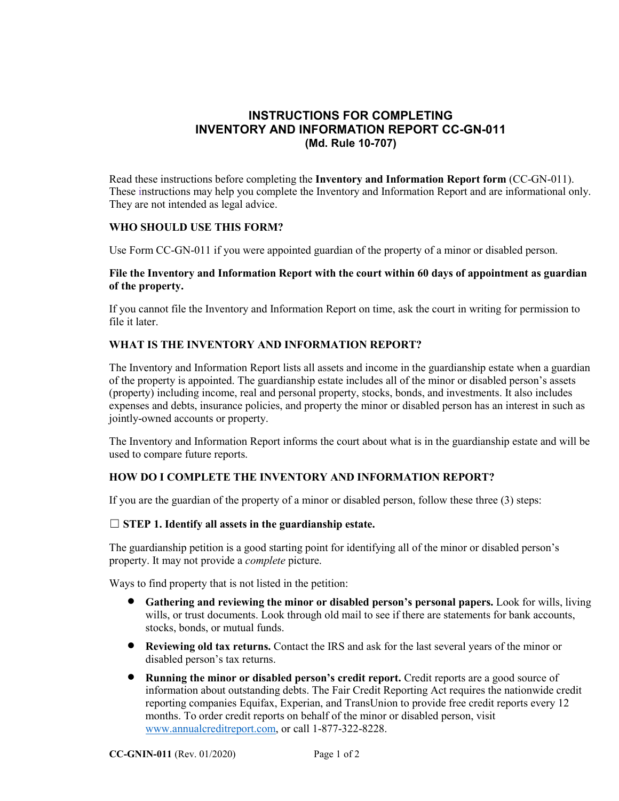# **INSTRUCTIONS FOR COMPLETING INVENTORY AND INFORMATION REPORT CC-GN-011 (Md. Rule 10-707)**

Read these instructions before completing the **Inventory and Information Report form** (CC-GN-011). These instructions may help you complete the Inventory and Information Report and are informational only. They are not intended as legal advice.

# **WHO SHOULD USE THIS FORM?**

Use Form CC-GN-011 if you were appointed guardian of the property of a minor or disabled person.

### **File the Inventory and Information Report with the court within 60 days of appointment as guardian of the property.**

If you cannot file the Inventory and Information Report on time, ask the court in writing for permission to file it later.

### **WHAT IS THE INVENTORY AND INFORMATION REPORT?**

The Inventory and Information Report lists all assets and income in the guardianship estate when a guardian of the property is appointed. The guardianship estate includes all of the minor or disabled person's assets (property) including income, real and personal property, stocks, bonds, and investments. It also includes expenses and debts, insurance policies, and property the minor or disabled person has an interest in such as jointly-owned accounts or property.

The Inventory and Information Report informs the court about what is in the guardianship estate and will be used to compare future reports.

#### **HOW DO I COMPLETE THE INVENTORY AND INFORMATION REPORT?**

If you are the guardian of the property of a minor or disabled person, follow these three (3) steps:

#### ☐ **STEP 1. Identify all assets in the guardianship estate.**

The guardianship petition is a good starting point for identifying all of the minor or disabled person's property. It may not provide a *complete* picture.

Ways to find property that is not listed in the petition:

- **Gathering and reviewing the minor or disabled person's personal papers.** Look for wills, living wills, or trust documents. Look through old mail to see if there are statements for bank accounts, stocks, bonds, or mutual funds.
- **Reviewing old tax returns.** Contact the IRS and ask for the last several years of the minor or disabled person's tax returns.
- **Running the minor or disabled person's credit report.** Credit reports are a good source of information about outstanding debts. The Fair Credit Reporting Act requires the nationwide credit reporting companies Equifax, Experian, and TransUnion to provide free credit reports every 12 months. To order credit reports on behalf of the minor or disabled person, visit [www.annualcreditreport.com,](http://www.annualcreditreport.com/) or call 1-877-322-8228.